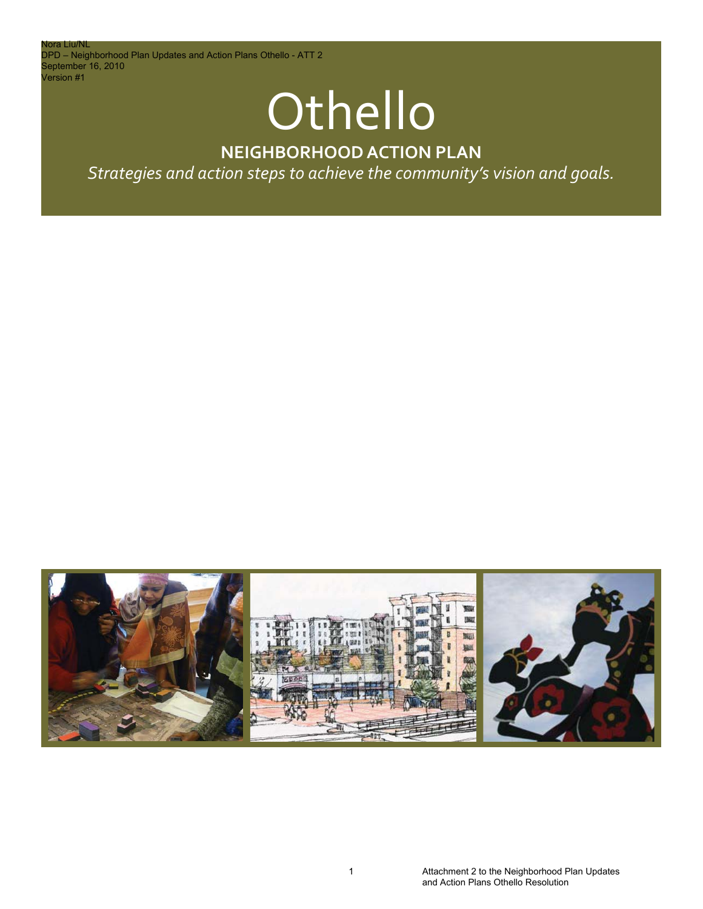lora Liu/NL DPD – Neighborhood Plan Updates and Action Plans Othello - ATT 2 September 16, 2010 Version #1

# **Othello**

### **NEIGHBORHOOD ACTION PLAN**

*Strategies and action steps to achieve the community's vision and goals.*

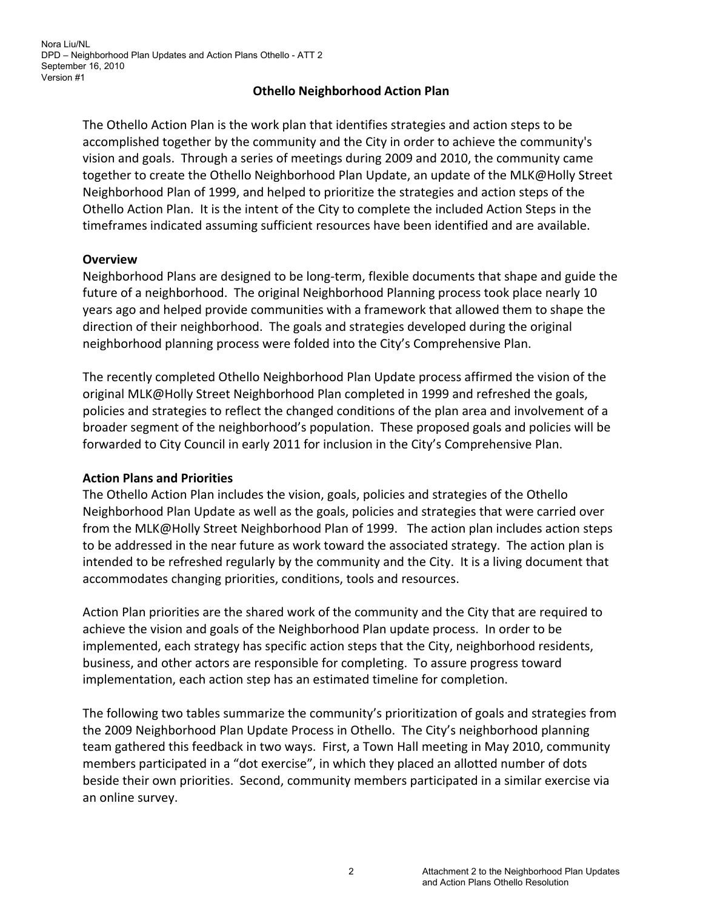#### **Othello Neighborhood Action Plan**

The Othello Action Plan is the work plan that identifies strategies and action steps to be accomplished together by the community and the City in order to achieve the community's vision and goals. Through a series of meetings during 2009 and 2010, the community came together to create the Othello Neighborhood Plan Update, an update of the MLK@Holly Street Neighborhood Plan of 1999, and helped to prioritize the strategies and action steps of the Othello Action Plan. It is the intent of the City to complete the included Action Steps in the timeframes indicated assuming sufficient resources have been identified and are available.

#### **Overview**

Neighborhood Plans are designed to be long‐term, flexible documents that shape and guide the future of a neighborhood. The original Neighborhood Planning process took place nearly 10 years ago and helped provide communities with a framework that allowed them to shape the direction of their neighborhood. The goals and strategies developed during the original neighborhood planning process were folded into the City's Comprehensive Plan.

The recently completed Othello Neighborhood Plan Update process affirmed the vision of the original MLK@Holly Street Neighborhood Plan completed in 1999 and refreshed the goals, policies and strategies to reflect the changed conditions of the plan area and involvement of a broader segment of the neighborhood's population. These proposed goals and policies will be forwarded to City Council in early 2011 for inclusion in the City's Comprehensive Plan.

#### **Action Plans and Priorities**

The Othello Action Plan includes the vision, goals, policies and strategies of the Othello Neighborhood Plan Update as well as the goals, policies and strategies that were carried over from the MLK@Holly Street Neighborhood Plan of 1999. The action plan includes action steps to be addressed in the near future as work toward the associated strategy. The action plan is intended to be refreshed regularly by the community and the City. It is a living document that accommodates changing priorities, conditions, tools and resources.

Action Plan priorities are the shared work of the community and the City that are required to achieve the vision and goals of the Neighborhood Plan update process. In order to be implemented, each strategy has specific action steps that the City, neighborhood residents, business, and other actors are responsible for completing. To assure progress toward implementation, each action step has an estimated timeline for completion.

The following two tables summarize the community's prioritization of goals and strategies from the 2009 Neighborhood Plan Update Process in Othello. The City's neighborhood planning team gathered this feedback in two ways. First, a Town Hall meeting in May 2010, community members participated in a "dot exercise", in which they placed an allotted number of dots beside their own priorities. Second, community members participated in a similar exercise via an online survey.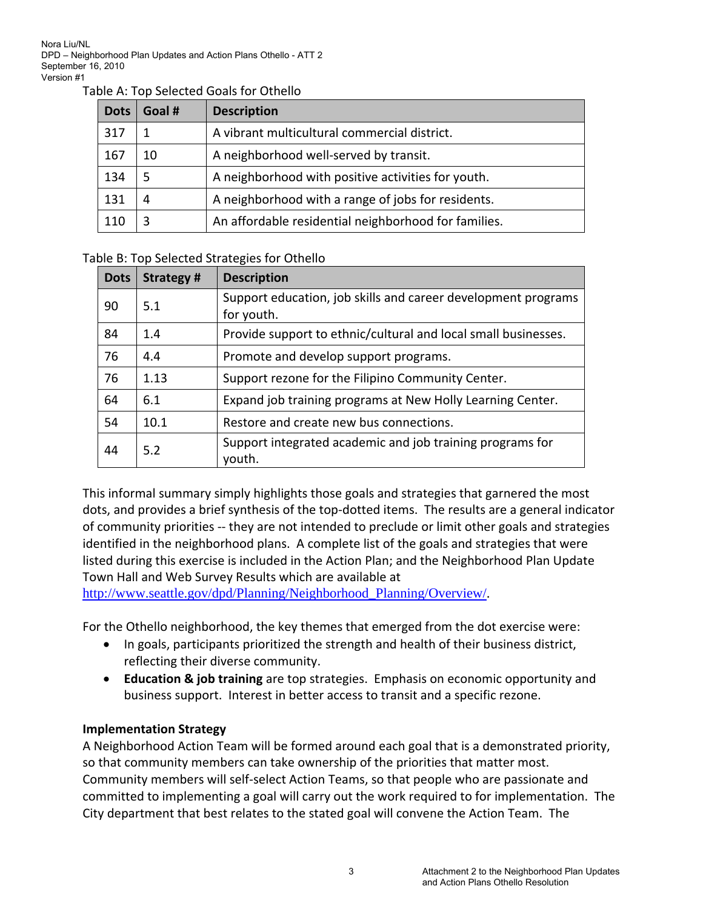Nora Liu/NL DPD – Neighborhood Plan Updates and Action Plans Othello - ATT 2 September 16, 2010 Version #1

#### Table A: Top Selected Goals for Othello

| <b>Dots</b> | Goal # | <b>Description</b>                                   |
|-------------|--------|------------------------------------------------------|
| 317         |        | A vibrant multicultural commercial district.         |
| 167         | 10     | A neighborhood well-served by transit.               |
| 134         | 5      | A neighborhood with positive activities for youth.   |
| 131         | 4      | A neighborhood with a range of jobs for residents.   |
| 110         |        | An affordable residential neighborhood for families. |

#### Table B: Top Selected Strategies for Othello

| <b>Dots</b> | Strategy# | <b>Description</b>                                             |
|-------------|-----------|----------------------------------------------------------------|
| 90          | 5.1       | Support education, job skills and career development programs  |
|             |           | for youth.                                                     |
| 84          | 1.4       | Provide support to ethnic/cultural and local small businesses. |
| 76          | 4.4       | Promote and develop support programs.                          |
| 76          | 1.13      | Support rezone for the Filipino Community Center.              |
| 64          | 6.1       | Expand job training programs at New Holly Learning Center.     |
| 54          | 10.1      | Restore and create new bus connections.                        |
| 44          | 5.2       | Support integrated academic and job training programs for      |
|             |           | vouth.                                                         |

This informal summary simply highlights those goals and strategies that garnered the most dots, and provides a brief synthesis of the top‐dotted items. The results are a general indicator of community priorities ‐‐ they are not intended to preclude or limit other goals and strategies identified in the neighborhood plans. A complete list of the goals and strategies that were listed during this exercise is included in the Action Plan; and the Neighborhood Plan Update Town Hall and Web Survey Results which are available at

http://www.seattle.gov/dpd/Planning/Neighborhood\_Planning/Overview/.

For the Othello neighborhood, the key themes that emerged from the dot exercise were:

- In goals, participants prioritized the strength and health of their business district, reflecting their diverse community.
- **Education & job training** are top strategies. Emphasis on economic opportunity and business support. Interest in better access to transit and a specific rezone.

#### **Implementation Strategy**

A Neighborhood Action Team will be formed around each goal that is a demonstrated priority, so that community members can take ownership of the priorities that matter most. Community members will self‐select Action Teams, so that people who are passionate and committed to implementing a goal will carry out the work required to for implementation. The City department that best relates to the stated goal will convene the Action Team. The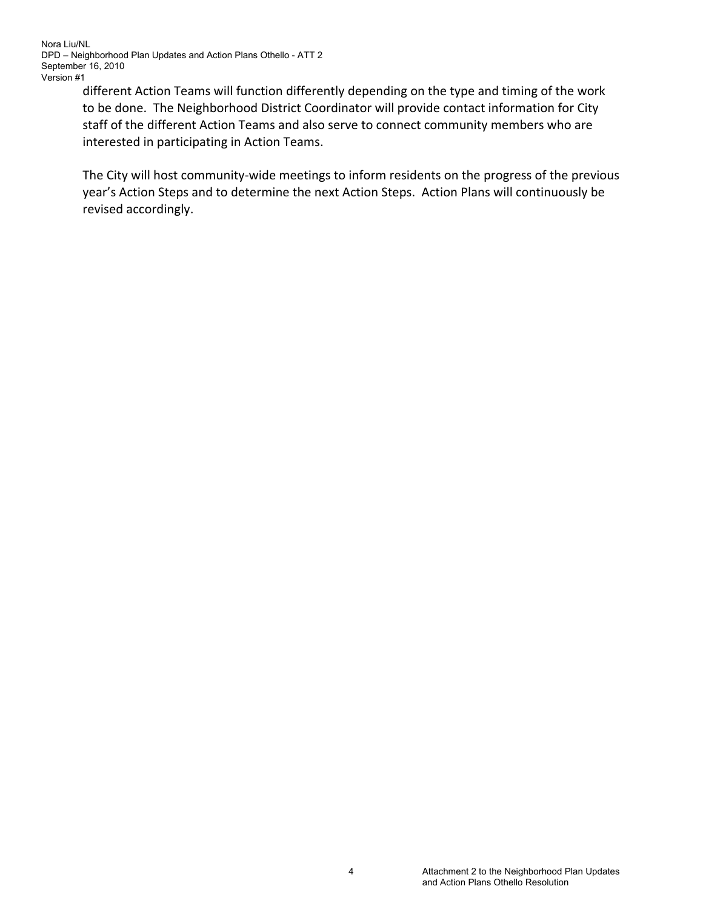Nora Liu/NL DPD – Neighborhood Plan Updates and Action Plans Othello - ATT 2 September 16, 2010 Version #1

> different Action Teams will function differently depending on the type and timing of the work to be done. The Neighborhood District Coordinator will provide contact information for City staff of the different Action Teams and also serve to connect community members who are interested in participating in Action Teams.

The City will host community-wide meetings to inform residents on the progress of the previous year's Action Steps and to determine the next Action Steps. Action Plans will continuously be revised accordingly.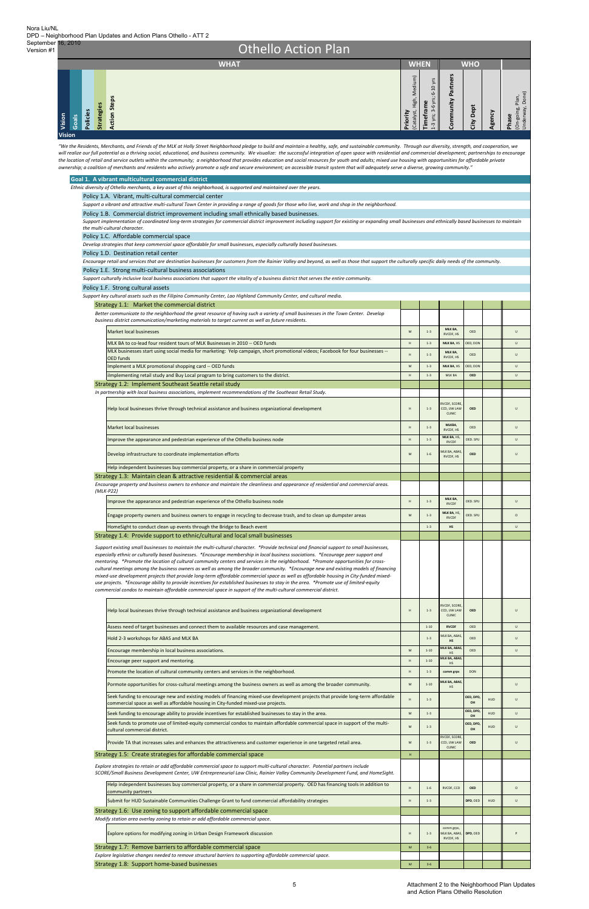| Vision<br>Goals | Policies | <b>Strategies</b> | <b>Action Steps</b> | Medium)<br>High,<br><b>Priority</b><br>(Catalyst, | $-10$ yrs<br>$-6$ yrs; $6$<br>Timeframe<br>ന്.<br>yrs;<br>$\omega$<br>$\overline{ }$ | Partners<br>Community | ë<br>≏<br>震 | Rency | Plan,<br>Done)<br>(On-going, F)<br>Underway, I<br>Phase |
|-----------------|----------|-------------------|---------------------|---------------------------------------------------|--------------------------------------------------------------------------------------|-----------------------|-------------|-------|---------------------------------------------------------|
| <b>Vision</b>   |          |                   |                     |                                                   |                                                                                      |                       |             |       |                                                         |

| Goal 1. A vibrant multicultural commercial district                                                                                                                                                                                                                                                                                                                                                                                                                                                                                                                                                                                                                                                                                                                                                                                                                                                                                                               |   |          |                                               |            |  |              |  |  |  |  |  |
|-------------------------------------------------------------------------------------------------------------------------------------------------------------------------------------------------------------------------------------------------------------------------------------------------------------------------------------------------------------------------------------------------------------------------------------------------------------------------------------------------------------------------------------------------------------------------------------------------------------------------------------------------------------------------------------------------------------------------------------------------------------------------------------------------------------------------------------------------------------------------------------------------------------------------------------------------------------------|---|----------|-----------------------------------------------|------------|--|--------------|--|--|--|--|--|
| Ethnic diversity of Othello merchants, a key asset of this neighborhood, is supported and maintained over the years.                                                                                                                                                                                                                                                                                                                                                                                                                                                                                                                                                                                                                                                                                                                                                                                                                                              |   |          |                                               |            |  |              |  |  |  |  |  |
| Policy 1.A. Vibrant, multi-cultural commercial center                                                                                                                                                                                                                                                                                                                                                                                                                                                                                                                                                                                                                                                                                                                                                                                                                                                                                                             |   |          |                                               |            |  |              |  |  |  |  |  |
| Support a vibrant and attractive multi-cultural Town Center in providing a range of goods for those who live, work and shop in the neighborhood.                                                                                                                                                                                                                                                                                                                                                                                                                                                                                                                                                                                                                                                                                                                                                                                                                  |   |          |                                               |            |  |              |  |  |  |  |  |
| Policy 1.B. Commercial district improvement including small ethnically based businesses.                                                                                                                                                                                                                                                                                                                                                                                                                                                                                                                                                                                                                                                                                                                                                                                                                                                                          |   |          |                                               |            |  |              |  |  |  |  |  |
| Support implementation of coordinated long-term strategies for commercial district improvement including support for existing or expanding small businesses and ethnically based businesses to maintain<br>the multi-cultural character.                                                                                                                                                                                                                                                                                                                                                                                                                                                                                                                                                                                                                                                                                                                          |   |          |                                               |            |  |              |  |  |  |  |  |
| Policy 1.C. Affordable commercial space                                                                                                                                                                                                                                                                                                                                                                                                                                                                                                                                                                                                                                                                                                                                                                                                                                                                                                                           |   |          |                                               |            |  |              |  |  |  |  |  |
| Develop strategies that keep commercial space affordable for small businesses, especially culturally based businesses.                                                                                                                                                                                                                                                                                                                                                                                                                                                                                                                                                                                                                                                                                                                                                                                                                                            |   |          |                                               |            |  |              |  |  |  |  |  |
| Policy 1.D. Destination retail center                                                                                                                                                                                                                                                                                                                                                                                                                                                                                                                                                                                                                                                                                                                                                                                                                                                                                                                             |   |          |                                               |            |  |              |  |  |  |  |  |
| Encourage retail and services that are destination businesses for customers from the Rainier Valley and beyond, as well as those that support the culturally specific daily needs of the community.                                                                                                                                                                                                                                                                                                                                                                                                                                                                                                                                                                                                                                                                                                                                                               |   |          |                                               |            |  |              |  |  |  |  |  |
| Policy 1.E. Strong multi-cultural business associations                                                                                                                                                                                                                                                                                                                                                                                                                                                                                                                                                                                                                                                                                                                                                                                                                                                                                                           |   |          |                                               |            |  |              |  |  |  |  |  |
| Support culturally inclusive local business associations that support the vitality of a business district that serves the entire community.                                                                                                                                                                                                                                                                                                                                                                                                                                                                                                                                                                                                                                                                                                                                                                                                                       |   |          |                                               |            |  |              |  |  |  |  |  |
| Policy 1.F. Strong cultural assets                                                                                                                                                                                                                                                                                                                                                                                                                                                                                                                                                                                                                                                                                                                                                                                                                                                                                                                                |   |          |                                               |            |  |              |  |  |  |  |  |
| Support key cultural assets such as the Filipino Community Center, Lao Highland Community Center, and cultural media.                                                                                                                                                                                                                                                                                                                                                                                                                                                                                                                                                                                                                                                                                                                                                                                                                                             |   |          |                                               |            |  |              |  |  |  |  |  |
| Strategy 1.1: Market the commercial district                                                                                                                                                                                                                                                                                                                                                                                                                                                                                                                                                                                                                                                                                                                                                                                                                                                                                                                      |   |          |                                               |            |  |              |  |  |  |  |  |
| Better communicate to the neighborhood the great resource of having such a variety of small businesses in the Town Center. Develop<br>business district communication/marketing materials to target current as well as future residents.                                                                                                                                                                                                                                                                                                                                                                                                                                                                                                                                                                                                                                                                                                                          |   |          |                                               |            |  |              |  |  |  |  |  |
| <b>Market local businesses</b>                                                                                                                                                                                                                                                                                                                                                                                                                                                                                                                                                                                                                                                                                                                                                                                                                                                                                                                                    | M | $1 - 3$  | MLK BA,<br>RVCDF, HS                          | OED        |  | $\mathbf{U}$ |  |  |  |  |  |
| MLK BA to co-lead four resident tours of MLK Businesses in 2010 -- OED funds                                                                                                                                                                                                                                                                                                                                                                                                                                                                                                                                                                                                                                                                                                                                                                                                                                                                                      | H | $1 - 3$  | MLK BA, HS                                    | OED, DON   |  | $\cup$       |  |  |  |  |  |
| MLK businesses start using social media for marketing: Yelp campaign, short promotional videos; Facebook for four businesses --                                                                                                                                                                                                                                                                                                                                                                                                                                                                                                                                                                                                                                                                                                                                                                                                                                   |   |          |                                               |            |  |              |  |  |  |  |  |
| <b>OED</b> funds                                                                                                                                                                                                                                                                                                                                                                                                                                                                                                                                                                                                                                                                                                                                                                                                                                                                                                                                                  | H | $1 - 3$  | MLK BA,<br>RVCDF, HS                          | OED        |  | U            |  |  |  |  |  |
| Implement a MLK promotional shopping card -- OED funds                                                                                                                                                                                                                                                                                                                                                                                                                                                                                                                                                                                                                                                                                                                                                                                                                                                                                                            | M | $1 - 3$  | MLK BA, HS                                    | OED, DON   |  | $\cup$       |  |  |  |  |  |
| ilmplementing retail study and Buy Local program to bring customers to the district.                                                                                                                                                                                                                                                                                                                                                                                                                                                                                                                                                                                                                                                                                                                                                                                                                                                                              | H | $1 - 3$  | MLK BA                                        | OED        |  | $\cup$       |  |  |  |  |  |
| Strategy 1.2: Implement Southeast Seattle retail study                                                                                                                                                                                                                                                                                                                                                                                                                                                                                                                                                                                                                                                                                                                                                                                                                                                                                                            |   |          |                                               |            |  |              |  |  |  |  |  |
| In partnership with local business associations, implement recommendations of the Southeast Retail Study.                                                                                                                                                                                                                                                                                                                                                                                                                                                                                                                                                                                                                                                                                                                                                                                                                                                         |   |          |                                               |            |  |              |  |  |  |  |  |
| Help local businesses thrive through technical assistance and business organizational development                                                                                                                                                                                                                                                                                                                                                                                                                                                                                                                                                                                                                                                                                                                                                                                                                                                                 | H | $1 - 3$  | RVCDF, SCORE,<br>CCD, UW LAW<br><b>CLINIC</b> | <b>OED</b> |  | $\cup$       |  |  |  |  |  |
| Market local businesses                                                                                                                                                                                                                                                                                                                                                                                                                                                                                                                                                                                                                                                                                                                                                                                                                                                                                                                                           | H | $1 - 3$  | MLKBA,<br>RVCDF, HS                           | OED        |  | U            |  |  |  |  |  |
| Improve the appearance and pedestrian experience of the Othello business node                                                                                                                                                                                                                                                                                                                                                                                                                                                                                                                                                                                                                                                                                                                                                                                                                                                                                     | H | $1 - 3$  | MLK BA, HS,<br><b>RVCDF</b>                   | OED. SPU   |  | $\cup$       |  |  |  |  |  |
| Develop infrastructure to coordinate implementation efforts                                                                                                                                                                                                                                                                                                                                                                                                                                                                                                                                                                                                                                                                                                                                                                                                                                                                                                       | M | $1 - 6$  | MLK BA, ABAS,<br>RVCDF, HS                    | <b>OED</b> |  | U            |  |  |  |  |  |
| Help independent businesses buy commercial property, or a share in commercial property                                                                                                                                                                                                                                                                                                                                                                                                                                                                                                                                                                                                                                                                                                                                                                                                                                                                            |   |          |                                               |            |  |              |  |  |  |  |  |
| Strategy 1.3: Maintain clean & attractive residential & commercial areas                                                                                                                                                                                                                                                                                                                                                                                                                                                                                                                                                                                                                                                                                                                                                                                                                                                                                          |   |          |                                               |            |  |              |  |  |  |  |  |
| Encourage property and business owners to enhance and maintain the cleanliness and appearance of residential and commercial areas.                                                                                                                                                                                                                                                                                                                                                                                                                                                                                                                                                                                                                                                                                                                                                                                                                                |   |          |                                               |            |  |              |  |  |  |  |  |
| $(MLK-P22)$                                                                                                                                                                                                                                                                                                                                                                                                                                                                                                                                                                                                                                                                                                                                                                                                                                                                                                                                                       |   |          |                                               |            |  |              |  |  |  |  |  |
| Improve the appearance and pedestrian experience of the Othello business node                                                                                                                                                                                                                                                                                                                                                                                                                                                                                                                                                                                                                                                                                                                                                                                                                                                                                     | H | $1 - 3$  | MLK BA,<br><b>RVCDF</b>                       | OED. SPU   |  | U            |  |  |  |  |  |
| Engage property owners and business owners to engage in recycling to decrease trash, and to clean up dumpster areas                                                                                                                                                                                                                                                                                                                                                                                                                                                                                                                                                                                                                                                                                                                                                                                                                                               | M | $1 - 3$  | MLK BA, HS,<br><b>RVCDF</b>                   | OED. SPU   |  | $\circ$      |  |  |  |  |  |
| HomeSight to conduct clean up events through the Bridge to Beach event                                                                                                                                                                                                                                                                                                                                                                                                                                                                                                                                                                                                                                                                                                                                                                                                                                                                                            |   | $1 - 3$  | HS                                            |            |  | $\cup$       |  |  |  |  |  |
| Strategy 1.4: Provide support to ethnic/cultural and local small businesses                                                                                                                                                                                                                                                                                                                                                                                                                                                                                                                                                                                                                                                                                                                                                                                                                                                                                       |   |          |                                               |            |  |              |  |  |  |  |  |
| Support existing small businesses to maintain the multi-cultural character. *Provide technical and financial support to small businesses,<br>especially ethnic or culturally based businesses. *Encourage membership in local business ssociations. *Encourage peer support and<br>mentoring. *Promote the location of cultural community centers and services in the neighborhood. *Promote opportunities for cross-<br>cultural meetings among the business owners as well as among the broader community. *Encourage new and existing models of financing<br>mixed-use development projects that provide long-term affordable commercial space as well as affordable housing in City-funded mixed-<br>use projects. *Encourage ability to provide incentives for established businesses to stay in the area. *Promote use of limited-equity<br>commercial condos to maintain affordable commercial space in support of the multi-cultural commercial district. |   |          |                                               |            |  |              |  |  |  |  |  |
| Help local businesses thrive through technical assistance and business organizational development                                                                                                                                                                                                                                                                                                                                                                                                                                                                                                                                                                                                                                                                                                                                                                                                                                                                 | H | $1 - 3$  | RVCDF, SCORE,<br>CCD, UW LAW<br><b>CLINIC</b> | <b>OED</b> |  | Ù            |  |  |  |  |  |
| Assess need of target businesses and connect them to available resources and case management.                                                                                                                                                                                                                                                                                                                                                                                                                                                                                                                                                                                                                                                                                                                                                                                                                                                                     |   | $1 - 10$ | <b>RVCDF</b>                                  | OED        |  | U            |  |  |  |  |  |
| Hold 2-3 workshops for ABAS and MLK BA                                                                                                                                                                                                                                                                                                                                                                                                                                                                                                                                                                                                                                                                                                                                                                                                                                                                                                                            |   | $1 - 3$  | MLK BA, ABAS,<br>HS                           | OED        |  | U            |  |  |  |  |  |
| Encourage membership in local business associations.                                                                                                                                                                                                                                                                                                                                                                                                                                                                                                                                                                                                                                                                                                                                                                                                                                                                                                              | M | $1 - 10$ | MLK BA, ABAS,<br>HS                           | OED        |  | Ù            |  |  |  |  |  |
| Encourage peer support and mentoring.                                                                                                                                                                                                                                                                                                                                                                                                                                                                                                                                                                                                                                                                                                                                                                                                                                                                                                                             | H | $1 - 10$ | MLK BA, ABAS,<br>HS                           |            |  |              |  |  |  |  |  |
| Promoto the lecation of cultural community context and sensices in the neighborhood                                                                                                                                                                                                                                                                                                                                                                                                                                                                                                                                                                                                                                                                                                                                                                                                                                                                               |   |          |                                               |            |  |              |  |  |  |  |  |

"We the Residents, Merchants, and Friends of the MLK at Holly Street Neighborhood pledge to build and maintain a healthy, safe, and sustainable community. Through our diversity, strength, and cooperation, we will realize our full potential as a thriving social, educational, and business community. We visualize: the successful integration of open space with residential and commercial development; partnerships to encourage the location of retail and service outlets within the community; a neighborhood that provides education and social resources for youth and adults; mixed use housing with opportunities for affordable private ownership; a coalition of merchants and residents who actively promote a safe and secure environment; an accessible transit system that will adequately serve a diverse, growing community."

| Promote the location of cultural community centers and services in the neighborhood.                                                                                                                                                                                 | н  | $1 - 3$  | comm grps                                     | <b>DON</b>            |            |              |
|----------------------------------------------------------------------------------------------------------------------------------------------------------------------------------------------------------------------------------------------------------------------|----|----------|-----------------------------------------------|-----------------------|------------|--------------|
| Pormote opportunities for cross-cultural meetings among the business owners as well as among the broader community.                                                                                                                                                  | M  | $1 - 10$ | MLK BA, ABAS,<br><b>HS</b>                    |                       |            | $\mathbf{H}$ |
| Seek funding to encourage new and existing models of financing mixed-use development projects that provide long-term affordable<br>commercial space as well as affordable housing in City-funded mixed-use projects.                                                 | H  | $1 - 3$  |                                               | OED, DPD<br><b>OH</b> | <b>HUD</b> |              |
| Seek funding to encourage ability to provide incentives for established businesses to stay in the area.                                                                                                                                                              | M  | $1 - 3$  |                                               | OED, DPD<br>OH        | <b>HUD</b> | U            |
| Seek funds to promote use of limited-equity commercial condos to maintain affordable commercial space in support of the multi-<br>cultural commercial district.                                                                                                      | M  | $1 - 3$  |                                               | OED, DPD<br>OH        | <b>HUD</b> |              |
| Provide TA that increases sales and enhances the attractiveness and customer experience in one targeted retail area.                                                                                                                                                 | M  | $1 - 3$  | RVCDF, SCORE,<br>CCD, UW LAW<br><b>CLINIC</b> | <b>OED</b>            |            |              |
| Strategy 1.5: Create strategies for affordable commercial space                                                                                                                                                                                                      | H. |          |                                               |                       |            |              |
| Explore strategies to retain or add affordable commercial space to support multi-cultural character. Potential partners include<br>SCORE/Small Business Development Center, UW Entrepreneurial Law Clinic, Rainier Valley Community Development Fund, and HomeSight. |    |          |                                               |                       |            |              |
| Help independent businesses buy commercial property, or a share in commercial property. OED has financing tools in addition to<br>community partners                                                                                                                 | H. | $1 - 6$  | RVCDF, CCD                                    | <b>OED</b>            |            | $\Omega$     |
| Submit for HUD Sustainable Communities Challenge Grant to fund commercial affordability strategies                                                                                                                                                                   | H. | $1 - 3$  |                                               | DPD, OED              | <b>HUD</b> | $\cup$       |
| Strategy 1.6: Use zoning to support affordable commercial space                                                                                                                                                                                                      |    |          |                                               |                       |            |              |
| Modify station area overlay zoning to retain or add affordable commercial space.                                                                                                                                                                                     |    |          |                                               |                       |            |              |
| Explore options for modifying zoning in Urban Design Framework discussion                                                                                                                                                                                            | H  | $1 - 3$  | comm grps,<br>MLK BA, ABAS,<br>RVCDF, HS      | DPD, OED              |            |              |
| Strategy 1.7: Remove barriers to affordable commercial space                                                                                                                                                                                                         | M  | $3 - 6$  |                                               |                       |            |              |
| Explore legislative changes needed to remove structural barriers to supporting affordable commercial space.                                                                                                                                                          |    |          |                                               |                       |            |              |
| Strategy 1.8: Support home-based businesses                                                                                                                                                                                                                          |    |          |                                               |                       |            |              |

## Othello Action Plan **WHAT WHEN WHO**

Version #1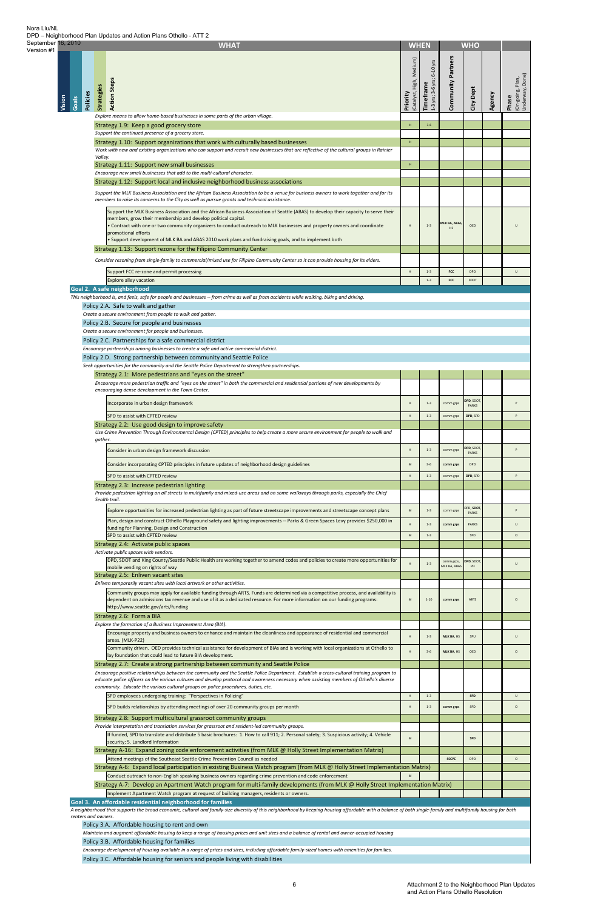| September 16, 2010<br>Version #1 |                 | <b>WHAT</b>                                                                                                                                                                                                                                                                                                                                                                                                                                                                                                                          |                                      | <b>WHEN</b>                             |                            | <b>WHO</b>             |        |                                              |
|----------------------------------|-----------------|--------------------------------------------------------------------------------------------------------------------------------------------------------------------------------------------------------------------------------------------------------------------------------------------------------------------------------------------------------------------------------------------------------------------------------------------------------------------------------------------------------------------------------------|--------------------------------------|-----------------------------------------|----------------------------|------------------------|--------|----------------------------------------------|
|                                  | Vision<br>Goals | <b>Action Steps</b><br><b>Strategies</b><br>Policies                                                                                                                                                                                                                                                                                                                                                                                                                                                                                 | (Catalyst, High, Medium)<br>Priority | 1-3 yrs; 3-6 yrs; 6-10 yrs<br>Timeframe | Partners<br>Community      | City Dept              | Agency | (On-going, Plan,<br>Underway, Done)<br>Phase |
|                                  |                 | Explore means to allow home-based businesses in some parts of the urban village.<br>Strategy 1.9: Keep a good grocery store                                                                                                                                                                                                                                                                                                                                                                                                          | H                                    | $3 - 6$                                 |                            |                        |        |                                              |
|                                  |                 | Support the continued presence of a grocery store.                                                                                                                                                                                                                                                                                                                                                                                                                                                                                   |                                      |                                         |                            |                        |        |                                              |
|                                  |                 | Strategy 1.10: Support organizations that work with culturally based businesses<br>Work with new and existing organizations who can support and recruit new businesses that are reflective of the cultural groups in Rainier                                                                                                                                                                                                                                                                                                         | H                                    |                                         |                            |                        |        |                                              |
|                                  |                 | Valley.<br>Strategy 1.11: Support new small businesses                                                                                                                                                                                                                                                                                                                                                                                                                                                                               | H                                    |                                         |                            |                        |        |                                              |
|                                  |                 | Encourage new small businesses that add to the multi-cultural character.                                                                                                                                                                                                                                                                                                                                                                                                                                                             |                                      |                                         |                            |                        |        |                                              |
|                                  |                 | Strategy 1.12: Support local and inclusive neighborhood business associations<br>Support the MLK Business Association and the African Business Association to be a venue for business owners to work together and for its                                                                                                                                                                                                                                                                                                            |                                      |                                         |                            |                        |        |                                              |
|                                  |                 | members to raise its concerns to the City as well as pursue grants and technical assistance.                                                                                                                                                                                                                                                                                                                                                                                                                                         |                                      |                                         |                            |                        |        |                                              |
|                                  |                 | Support the MLK Business Association and the African Business Association of Seattle (ABAS) to develop their capacity to serve their<br>members, grow their membership and develop political capital.<br>. Contract with one or two community organizers to conduct outreach to MLK businesses and property owners and coordinate<br>promotional efforts<br>. Support development of MLK BA and ABAS 2010 work plans and fundraising goals, and to implement both<br>Strategy 1.13: Support rezone for the Filipino Community Center | H                                    | $1 - 3$                                 | MLK BA, ABAS,<br><b>HS</b> | OED                    |        | U                                            |
|                                  |                 | Consider rezoning from single-family to commercial/mixed use for Filipino Community Center so it can provide housing for its elders.                                                                                                                                                                                                                                                                                                                                                                                                 |                                      |                                         |                            |                        |        |                                              |
|                                  |                 | Support FCC re-zone and permit processing<br><b>Explore alley vacation</b>                                                                                                                                                                                                                                                                                                                                                                                                                                                           | H                                    | $1 - 3$<br>$1 - 3$                      | FCC<br>FCC                 | <b>DPD</b><br>SDOT     |        | U                                            |
|                                  |                 | Goal 2. A safe neighborhood                                                                                                                                                                                                                                                                                                                                                                                                                                                                                                          |                                      |                                         |                            |                        |        |                                              |
|                                  |                 | This neighborhood is, and feels, safe for people and businesses -- from crime as well as from accidents while walking, biking and driving.<br>Policy 2.A. Safe to walk and gather                                                                                                                                                                                                                                                                                                                                                    |                                      |                                         |                            |                        |        |                                              |
|                                  |                 | Create a secure environment from people to walk and gather.                                                                                                                                                                                                                                                                                                                                                                                                                                                                          |                                      |                                         |                            |                        |        |                                              |
|                                  |                 | Policy 2.B. Secure for people and businesses<br>Create a secure environment for people and businesses.                                                                                                                                                                                                                                                                                                                                                                                                                               |                                      |                                         |                            |                        |        |                                              |
|                                  |                 | Policy 2.C. Partnerships for a safe commercial district                                                                                                                                                                                                                                                                                                                                                                                                                                                                              |                                      |                                         |                            |                        |        |                                              |
|                                  |                 | Encourage partnerships among businesses to create a safe and active commercial district.<br>Policy 2.D. Strong partnership between community and Seattle Police                                                                                                                                                                                                                                                                                                                                                                      |                                      |                                         |                            |                        |        |                                              |
|                                  |                 | Seek opportunities for the community and the Seattle Police Department to strengthen partnerships.                                                                                                                                                                                                                                                                                                                                                                                                                                   |                                      |                                         |                            |                        |        |                                              |
|                                  |                 | Strategy 2.1: More pedestrians and "eyes on the street"<br>Encourage more pedestrian traffic and "eyes on the street" in both the commercial and residential portions of new developments by                                                                                                                                                                                                                                                                                                                                         |                                      |                                         |                            |                        |        |                                              |
|                                  |                 | encouraging dense development in the Town Center.                                                                                                                                                                                                                                                                                                                                                                                                                                                                                    |                                      |                                         |                            |                        |        |                                              |
|                                  |                 | Incorporate in urban design framework                                                                                                                                                                                                                                                                                                                                                                                                                                                                                                | H                                    | $1 - 3$                                 | comm grps                  | DPD, SDOT<br>PARKS     |        | P                                            |
|                                  |                 | SPD to assist with CPTED review                                                                                                                                                                                                                                                                                                                                                                                                                                                                                                      | H                                    | $1 - 3$                                 | comm grps                  | DPD, SPD               |        | P                                            |
|                                  |                 | Strategy 2.2: Use good design to improve safety<br>Use Crime Prevention Through Environmental Design (CPTED) principles to help create a more secure environment for people to walk and                                                                                                                                                                                                                                                                                                                                              |                                      |                                         |                            |                        |        |                                              |
|                                  |                 | gather.                                                                                                                                                                                                                                                                                                                                                                                                                                                                                                                              |                                      |                                         |                            | DPD, SDOT              |        |                                              |
|                                  |                 | Consider in urban design framework discussion                                                                                                                                                                                                                                                                                                                                                                                                                                                                                        | H                                    | $1 - 3$                                 | comm grps                  | PARKS                  |        | P                                            |
|                                  |                 | Consider incorporating CPTED principles in future updates of neighborhood design guidelines<br>SPD to assist with CPTED review                                                                                                                                                                                                                                                                                                                                                                                                       | M<br>H                               | $3 - 6$<br>$1 - 3$                      | comm grps                  | <b>DPD</b><br>DPD, SPD |        | P                                            |
|                                  |                 | Strategy 2.3: Increase pedestrian lighting                                                                                                                                                                                                                                                                                                                                                                                                                                                                                           |                                      |                                         | comm grps                  |                        |        |                                              |
|                                  |                 | Provide pedestrian lighting on all streets in multifamily and mixed-use areas and on some walkways through parks, especially the Chief<br>Sealth trail.                                                                                                                                                                                                                                                                                                                                                                              |                                      |                                         |                            |                        |        |                                              |
|                                  |                 | Explore opportunities for increased pedestrian lighting as part of future streetscape improvements and streetscape concept plans                                                                                                                                                                                                                                                                                                                                                                                                     | M                                    | $1 - 3$                                 | comm grps                  | DPD, SDOT<br>PARKS     |        | P                                            |
|                                  |                 | Plan, design and construct Othello Playground safety and lighting improvements -- Parks & Green Spaces Levy provides \$250,000 in<br>funding for Planning, Design and Construction                                                                                                                                                                                                                                                                                                                                                   |                                      | $1 - 3$                                 | comm grps                  | PARKS                  |        | U                                            |
|                                  |                 | SPD to assist with CPTED review                                                                                                                                                                                                                                                                                                                                                                                                                                                                                                      | M                                    | $1 - 3$                                 |                            | SPD                    |        | $\circ$                                      |
|                                  |                 | Strategy 2.4: Activate public spaces<br>Activate public spaces with vendors.                                                                                                                                                                                                                                                                                                                                                                                                                                                         |                                      |                                         |                            |                        |        |                                              |
|                                  |                 | DPD, SDOT and King County/Seattle Public Health are working together to amend codes and policies to create more opportunities for<br>mobile vending on rights of way                                                                                                                                                                                                                                                                                                                                                                 | H                                    | $1 - 3$                                 | comm grps,<br>MLK BA, ABAS | DPD, SDOT<br>PH        |        | $\cup$                                       |
|                                  |                 | Strategy 2.5: Enliven vacant sites<br>Enliven temporarily vacant sites with local artwork or other activities.                                                                                                                                                                                                                                                                                                                                                                                                                       |                                      |                                         |                            |                        |        |                                              |
|                                  |                 | Community groups may apply for available funding through ARTS. Funds are determined via a competitive process, and availability is<br>dependent on admissions tax revenue and use of it as a dedicated resource. For more information on our funding programs:                                                                                                                                                                                                                                                                       | M                                    | $1 - 10$                                | comm grps                  | ARTS                   |        | $\circ$                                      |
|                                  |                 | http://www.seattle.gov/arts/funding                                                                                                                                                                                                                                                                                                                                                                                                                                                                                                  |                                      |                                         |                            |                        |        |                                              |
|                                  |                 | Strategy 2.6: Form a BIA<br>Explore the formation of a Business Improvement Area (BIA).                                                                                                                                                                                                                                                                                                                                                                                                                                              |                                      |                                         |                            |                        |        |                                              |
|                                  |                 | Encourage property and business owners to enhance and maintain the cleanliness and appearance of residential and commercial<br>areas. (MLK-P22)                                                                                                                                                                                                                                                                                                                                                                                      | H                                    | $1 - 3$                                 | MLK BA, HS                 | SPU                    |        | U                                            |
|                                  |                 | Community driven. OED provides technical assistance for development of BIAs and is working with local organizations at Othello to<br>lay foundation that could lead to future BIA development.                                                                                                                                                                                                                                                                                                                                       |                                      | $3 - 6$                                 | MLK BA, HS                 | OED                    |        | $\circ$                                      |
|                                  |                 | Strategy 2.7: Create a strong partnership between community and Seattle Police                                                                                                                                                                                                                                                                                                                                                                                                                                                       |                                      |                                         |                            |                        |        |                                              |
|                                  |                 | Encourage positive relationships between the community and the Seattle Police Department. Establish a cross-cultural training program to<br>educate police officers on the various cultures and develop protocol and awareness necessary when assisting members of Othello's diverse                                                                                                                                                                                                                                                 |                                      |                                         |                            |                        |        |                                              |
|                                  |                 | community. Educate the various cultural groups on police procedures, duties, etc.                                                                                                                                                                                                                                                                                                                                                                                                                                                    |                                      |                                         |                            |                        |        |                                              |
|                                  |                 | SPD employees undergoing training: "Perspectives in Policing"<br>SPD builds relationships by attending meetings of over 20 community groups per month                                                                                                                                                                                                                                                                                                                                                                                | H                                    | $1 - 3$                                 |                            | SPD                    |        | U                                            |
|                                  |                 | Strategy 2.8: Support multicultural grassroot community groups                                                                                                                                                                                                                                                                                                                                                                                                                                                                       |                                      |                                         |                            |                        |        |                                              |
|                                  |                 | Provide interpretation and translation services for grassroot and resident-led community groups.                                                                                                                                                                                                                                                                                                                                                                                                                                     |                                      |                                         |                            |                        |        |                                              |
|                                  |                 | If funded, SPD to translate and distribute 5 basic brochures: 1. How to call 911; 2. Personal safety; 3. Suspicious activity; 4. Vehicle<br>security; 5. Landlord Information                                                                                                                                                                                                                                                                                                                                                        | M                                    |                                         |                            | SPD                    |        |                                              |
|                                  |                 | Strategy A-16: Expand zoning code enforcement activities (from MLK @ Holly Street Implementation Matrix)<br>Attend meetings of the Southeast Seattle Crime Prevention Council as needed                                                                                                                                                                                                                                                                                                                                              |                                      |                                         | <b>SSCPC</b>               | <b>DPD</b>             |        | $\circ$                                      |
|                                  |                 | Strategy A-6: Expand local participation in existing Business Watch program (from MLK @ Holly Street Implementation Matrix)                                                                                                                                                                                                                                                                                                                                                                                                          |                                      |                                         |                            |                        |        |                                              |
|                                  |                 | Conduct outreach to non-English speaking business owners regarding crime prevention and code enforcement<br>Strategy A-7: Develop an Apartment Watch program for multi-family developments (from MLK @ Holly Street Implementation Matrix)                                                                                                                                                                                                                                                                                           |                                      |                                         |                            |                        |        |                                              |
|                                  |                 | Implement Apartment Watch program at request of building managers, residents or owners.                                                                                                                                                                                                                                                                                                                                                                                                                                              |                                      |                                         |                            |                        |        |                                              |
|                                  |                 | Goal 3. An affordable residential neighborhood for families<br>A neighborhood that supports the broad economic, cultural and family-size diversity of this neighborhood by keeping housing affordable with a balance of both single-family and multifamily housing for both                                                                                                                                                                                                                                                          |                                      |                                         |                            |                        |        |                                              |
|                                  |                 | renters and owners.<br>Policy 3.A. Affordable housing to rent and own                                                                                                                                                                                                                                                                                                                                                                                                                                                                |                                      |                                         |                            |                        |        |                                              |
|                                  |                 | Maintain and augment affordable housing to keep a range of housing prices and unit sizes and a balance of rental and owner-occupied housing                                                                                                                                                                                                                                                                                                                                                                                          |                                      |                                         |                            |                        |        |                                              |
|                                  |                 | Policy 3.B. Affordable housing for families<br>Encourage development of housing available in a range of prices and sizes, including affordable family-sized homes with amenities for families.                                                                                                                                                                                                                                                                                                                                       |                                      |                                         |                            |                        |        |                                              |
|                                  |                 | Policy 3.C. Affordable housing for seniors and people living with disabilities                                                                                                                                                                                                                                                                                                                                                                                                                                                       |                                      |                                         |                            |                        |        |                                              |

Nora Liu/NL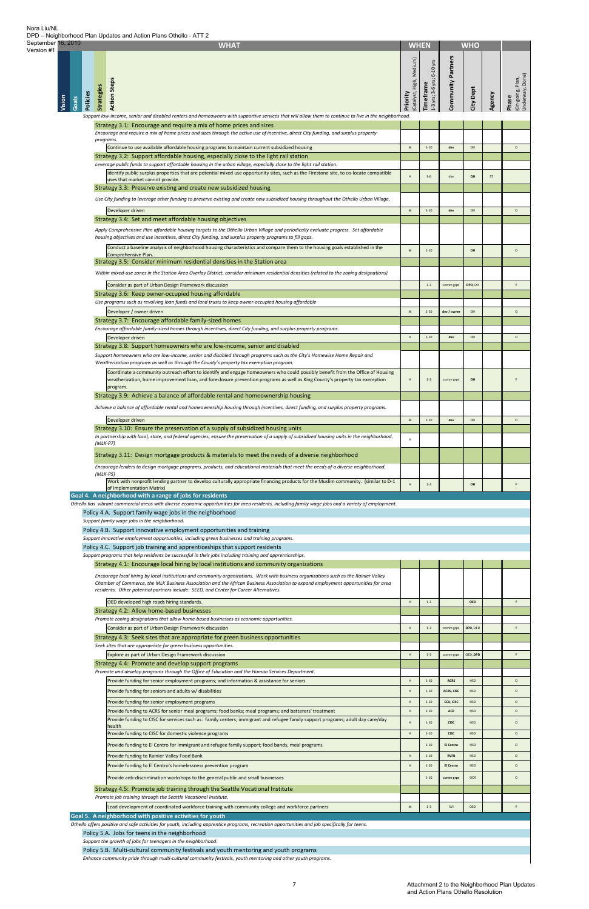| Version #1                         | <b>WHAT</b>                                                                                                                                                                                                                                    |                                      | <b>WHEN</b>                             |                           | <b>WHO</b>               |        |                                                          |
|------------------------------------|------------------------------------------------------------------------------------------------------------------------------------------------------------------------------------------------------------------------------------------------|--------------------------------------|-----------------------------------------|---------------------------|--------------------------|--------|----------------------------------------------------------|
| <b>Policies</b><br>Vision<br>Goals | <b>Action Steps</b><br><b>Strategies</b><br>Support low-income, senior and disabled renters and homeowners with supportive services that will allow them to continue to live in the neighborhood.                                              | (Catalyst, High, Medium)<br>Priority | 1-3 yrs; 3-6 yrs; 6-10 yrs<br>Timeframe | Community Partners        | City Dept                | Agency | (On-going, Plan,<br>Phase                                |
|                                    | Strategy 3.1: Encourage and require a mix of home prices and sizes<br>Encourage and require a mix of home prices and sizes through the active use of incentive, direct City funding, and surplus property                                      |                                      |                                         |                           |                          |        |                                                          |
|                                    | programs.<br>Continue to use available affordable housing programs to maintain current subsidized housing                                                                                                                                      | ${\sf M}$                            | $1 - 10$                                | dev                       | OH                       |        | $\circ$                                                  |
|                                    | Strategy 3.2: Support affordable housing, especially close to the light rail station<br>Leverage public funds to support affordable housing in the urban village, especially close to the light rail station.                                  |                                      |                                         |                           |                          |        |                                                          |
|                                    | Identify public surplus properties that are potential mixed use opportunity sites, such as the Firestone site, to co-locate compatible<br>uses that market cannot provide.                                                                     | H                                    | $1 - 6$                                 | dev                       | OH                       | ST     |                                                          |
|                                    | Strategy 3.3: Preserve existing and create new subsidized housing                                                                                                                                                                              |                                      |                                         |                           |                          |        |                                                          |
|                                    | Use City funding to leverage other funding to preserve existing and create new subsidized housing throughout the Othello Urban Village.                                                                                                        | ${\sf M}$                            | $1 - 10$                                | dev                       | OH                       |        | $\circ$                                                  |
|                                    | Developer driven<br>Strategy 3.4: Set and meet affordable housing objectives                                                                                                                                                                   |                                      |                                         |                           |                          |        |                                                          |
|                                    | Apply Comprehensive Plan affordable housing targets to the Othello Urban Village and periodically evaluate progress. Set affordable<br>housing objectives and use incentives, direct City funding, and surplus property programs to fill gaps. |                                      |                                         |                           |                          |        |                                                          |
|                                    | Conduct a baseline analysis of neighborhood housing characteristics and compare them to the housing goals established in the                                                                                                                   | ${\sf M}$                            | $1 - 10$                                |                           | OH                       |        | $\circ$                                                  |
|                                    | Comprehensive Plan.<br>Strategy 3.5: Consider minimum residential densities in the Station area                                                                                                                                                |                                      |                                         |                           |                          |        |                                                          |
|                                    | Within mixed-use zones in the Station Area Overlay District, consider minimum residential densities (related to the zoning designations)                                                                                                       |                                      |                                         |                           |                          |        |                                                          |
|                                    | Consider as part of Urban Design Framework discussion                                                                                                                                                                                          |                                      | $1 - 3$                                 | comm grps                 | DPD, OH                  |        |                                                          |
|                                    | Strategy 3.6: Keep owner-occupied housing affordable<br>Use programs such as revolving loan funds and land trusts to keep owner-occupied housing affordable                                                                                    |                                      |                                         |                           |                          |        |                                                          |
|                                    | Developer / owner driven<br>Strategy 3.7: Encourage affordable family-sized homes                                                                                                                                                              | ${\sf M}$                            | $1 - 10$                                | dev / owner               | OH                       |        | $\circ$                                                  |
|                                    | Encourage affordable family-sized homes through incentives, direct City funding, and surplus property programs.                                                                                                                                |                                      |                                         |                           |                          |        |                                                          |
|                                    | Developer driven<br>Strategy 3.8: Support homeowners who are low-income, senior and disabled                                                                                                                                                   | $\,$ H                               | $1 - 10$                                | dev                       | OH                       |        | $\circ$                                                  |
|                                    | Support homeowners who are low-income, senior and disabled through programs such as the City's Homewise Home Repair and                                                                                                                        |                                      |                                         |                           |                          |        |                                                          |
|                                    | Weatherization programs as well as through the County's property tax exemption program.<br>Coordinate a community outreach effort to identify and engage homeowners who could possibly benefit from the Office of Housing                      |                                      |                                         |                           |                          |        |                                                          |
|                                    | weatherization, home improvement loan, and foreclosure prevention programs as well as King County's property tax exemption<br>program.                                                                                                         | H                                    | $1 - 3$                                 | comm grps                 | OH                       |        |                                                          |
|                                    | Strategy 3.9: Achieve a balance of affordable rental and homeownership housing                                                                                                                                                                 |                                      |                                         |                           |                          |        |                                                          |
|                                    | Achieve a balance of affordable rental and homeownership housing through incentives, direct funding, and surplus property programs.                                                                                                            |                                      |                                         |                           |                          |        |                                                          |
|                                    | Developer driven<br>Strategy 3.10: Ensure the preservation of a supply of subsidized housing units                                                                                                                                             | ${\sf M}$                            | $1 - 10$                                | dev                       | OH                       |        | $\circ$                                                  |
|                                    | In partnership with local, state, and federal agencies, ensure the preservation of a supply of subsidized housing units in the neighborhood.<br>$(MLK- P7)$                                                                                    | H                                    |                                         |                           |                          |        |                                                          |
|                                    |                                                                                                                                                                                                                                                |                                      |                                         |                           |                          |        |                                                          |
|                                    |                                                                                                                                                                                                                                                |                                      |                                         |                           |                          |        |                                                          |
|                                    | Strategy 3.11: Design mortgage products & materials to meet the needs of a diverse neighborhood<br>Encourage lenders to design mortgage programs, products, and educational materials that meet the needs of a diverse neighborhood.           |                                      |                                         |                           |                          |        |                                                          |
|                                    | $(MLK-PS)$<br>Work with nonprofit lending partner to develop culturally appropriate financing products for the Muslim community. (similar to D-1                                                                                               | H                                    | $1 - 3$                                 |                           | OH                       |        |                                                          |
|                                    | of Implementation Matrix)<br>Goal 4. A neighborhood with a range of jobs for residents                                                                                                                                                         |                                      |                                         |                           |                          |        |                                                          |
|                                    | Othello has vibrant commercial areas with diverse economic opportunities for area residents, including family wage jobs and a variety of employment.                                                                                           |                                      |                                         |                           |                          |        |                                                          |
|                                    | Policy 4.A. Support family wage jobs in the neighborhood<br>Support family wage jobs in the neighborhood.                                                                                                                                      |                                      |                                         |                           |                          |        |                                                          |
|                                    | Policy 4.B. Support innovative employment opportunities and training<br>Support innovative employment opportunities, including green businesses and training programs.                                                                         |                                      |                                         |                           |                          |        |                                                          |
|                                    | Policy 4.C. Support job training and apprenticeships that support residents                                                                                                                                                                    |                                      |                                         |                           |                          |        |                                                          |
|                                    | Support programs that help residents be successful in their jobs including training and apprenticeships.<br>Strategy 4.1: Encourage local hiring by local institutions and community organizations                                             |                                      |                                         |                           |                          |        |                                                          |
|                                    | Encourage local hiring by local institutions and community organizations. Work with business organizations such as the Rainier Valley                                                                                                          |                                      |                                         |                           |                          |        |                                                          |
|                                    | Chamber of Commerce, the MLK Business Association and the African Business Association to expand employment opportunities for area<br>residents. Other potential partners include: SEED, and Center for Career Alternatives.                   |                                      |                                         |                           |                          |        |                                                          |
|                                    | OED developed high roads hiring standards.                                                                                                                                                                                                     | $\,$ H                               | $1 - 3$                                 |                           | <b>OED</b>               |        |                                                          |
|                                    | Strategy 4.2: Allow home-based businesses<br>Promote zoning designations that allow home-based businesses as economic opportunities.                                                                                                           |                                      |                                         |                           |                          |        |                                                          |
|                                    | Consider as part of Urban Design Framework discussion                                                                                                                                                                                          | H                                    | $1 - 3$                                 | comm grps                 | DPD, OED                 |        |                                                          |
|                                    | Strategy 4.3: Seek sites that are appropriate for green business opportunities<br>Seek sites that are appropriate for green business opportunities.                                                                                            |                                      |                                         |                           |                          |        |                                                          |
|                                    | Explore as part of Urban Design Framework discussion                                                                                                                                                                                           | H                                    | $1 - 3$                                 | comm grps                 | OED, DPD                 |        |                                                          |
|                                    | Strategy 4.4: Promote and develop support programs<br>Promote and develop programs through the Office of Education and the Human Services Department.                                                                                          |                                      |                                         |                           |                          |        |                                                          |
|                                    | Provide funding for senior employment programs; and information & assistance for seniors<br>Provide funding for seniors and adults w/ disabilities                                                                                             | $\,$ H<br>H                          | $1 - 10$<br>$1 - 10$                    | <b>ACRS</b><br>ACRS, CISC | <b>HSD</b><br><b>HSD</b> |        |                                                          |
|                                    | Provide funding for senior employment programs                                                                                                                                                                                                 | H                                    | $1 - 10$                                | CCA, CISC                 | <b>HSD</b>               |        |                                                          |
|                                    | Provide funding to ACRS for senior meal programs; food banks; meal programs; and batterers' treatment                                                                                                                                          | H                                    | $1 - 10$                                | <b>ACR</b>                | <b>HSD</b>               |        |                                                          |
|                                    | Provide funding to CISC for services such as: family centers; immigrant and refugee family support programs; adult day care/day<br>health                                                                                                      | $\,$ H                               | $1 - 10$                                | <b>CISC</b>               | <b>HSD</b>               |        | $\circ$<br>$\circ$<br>$\circ$<br>$\circ$<br>$\circ$      |
|                                    | Provide funding to CISC for domestic violence programs<br>Provide funding to El Centro for immigrant and refugee family support; food bands, meal programs                                                                                     | $\,$ H                               | $1 - 10$<br>$1 - 10$                    | <b>CISC</b><br>El Centro  | <b>HSD</b><br><b>HSD</b> |        |                                                          |
|                                    | Provide funding to Rainier Valley Food Bank                                                                                                                                                                                                    | $\,$ H                               | $1 - 10$                                | <b>RVFB</b>               | <b>HSD</b>               |        |                                                          |
|                                    | Provide funding to El Centro's homelessness prevention program                                                                                                                                                                                 | $\,$ H                               | $1 - 10$                                | <b>El Centro</b>          | <b>HSD</b>               |        |                                                          |
|                                    | Provide anti-discrimination workshops to the general public and small businesses                                                                                                                                                               |                                      | $1 - 10$                                | comm grps                 | OCR                      |        |                                                          |
|                                    | Strategy 4.5: Promote job training through the Seattle Vocational Institute<br>Promote job training through the Seattle Vocational Institute.                                                                                                  |                                      |                                         |                           |                          |        |                                                          |
|                                    | Lead development of coordinated workforce training with community college and workforce partners                                                                                                                                               | ${\sf M}$                            | $1 - 3$                                 | SVI                       | OED                      |        | $\circ$<br>$\circ$<br>$\circ$<br>$\circ$<br>$\circ$<br>P |
|                                    | Goal 5. A neighborhood with positive activities for youth<br>Othello offers positive and safe activities for youth, including apprentice programs, recreation opportunities and job specifically for teens.                                    |                                      |                                         |                           |                          |        |                                                          |

Nora Liu/NL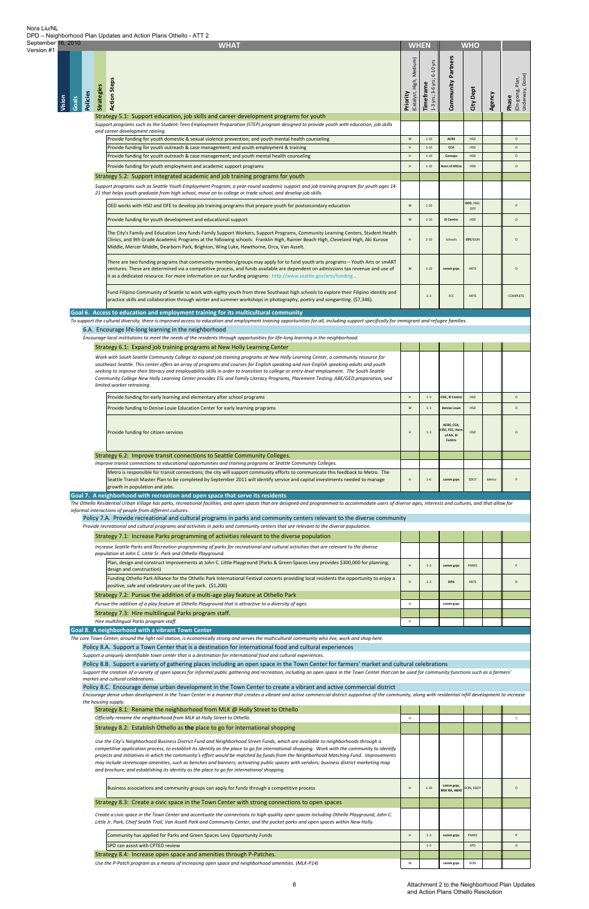| September 16, 2010<br>Version #1 |                             | <b>WHAT</b>                                                                                                                                                                                                                                                                                                                                                                                                                                                                                                                                                                                                                                                       |                                                                                                            | <b>WHEN</b>                             |                                                             | <b>WHO</b>        |        |                                              |
|----------------------------------|-----------------------------|-------------------------------------------------------------------------------------------------------------------------------------------------------------------------------------------------------------------------------------------------------------------------------------------------------------------------------------------------------------------------------------------------------------------------------------------------------------------------------------------------------------------------------------------------------------------------------------------------------------------------------------------------------------------|------------------------------------------------------------------------------------------------------------|-----------------------------------------|-------------------------------------------------------------|-------------------|--------|----------------------------------------------|
|                                  | Policies<br>Vision<br>Goals | <b>Action Steps</b><br><b>Strategies</b>                                                                                                                                                                                                                                                                                                                                                                                                                                                                                                                                                                                                                          | Medium)<br>(Catalyst, High,<br>Priority                                                                    | 1-3 yrs; 3-6 yrs; 6-10 yrs<br>Timeframe | Community Partners                                          | City Dept         | Agency | (On-going, Plan,<br>Underway, Done)<br>Phase |
|                                  |                             | Strategy 5.1: Support education, job skills and career development programs for youth<br>Support programs such as the Student-Teen Employment Preparation (STEP) program designed to provide youth with education, job skills<br>and career development raining.                                                                                                                                                                                                                                                                                                                                                                                                  |                                                                                                            |                                         |                                                             |                   |        |                                              |
|                                  |                             | Provide funding for youth domestic & sexual violence prevention; and youth mental health counseling                                                                                                                                                                                                                                                                                                                                                                                                                                                                                                                                                               | $\mathsf{M}% _{T}=\mathsf{M}_{T}\!\left( a,b\right) ,\ \mathsf{M}_{T}=\mathsf{M}_{T}\!\left( a,b\right) ,$ | $1 - 10$                                | <b>ACRS</b>                                                 | HSD               |        | $\circ$                                      |
|                                  |                             | Provide funding for youth outreach & case management; and youth employment & training<br>Provide funding for youth outreach & case management; and youth mental health counseling                                                                                                                                                                                                                                                                                                                                                                                                                                                                                 | $\,$ H<br>H                                                                                                | $1 - 10$<br>$1 - 10$                    | CCA<br>Consejo                                              | HSD<br><b>HSD</b> |        | $\circ$<br>$\circ$                           |
|                                  |                             | Provide funding for youth employment and academic support programs                                                                                                                                                                                                                                                                                                                                                                                                                                                                                                                                                                                                | H                                                                                                          | $1 - 10$                                | <b>Horn of Africa</b>                                       | <b>HSD</b>        |        | $\circ$                                      |
|                                  |                             | Strategy 5.2: Support integrated academic and job training programs for youth                                                                                                                                                                                                                                                                                                                                                                                                                                                                                                                                                                                     |                                                                                                            |                                         |                                                             |                   |        |                                              |
|                                  |                             | Support programs such as Seattle Youth Employment Program, a year-round academic support and job training program for youth ages 14-                                                                                                                                                                                                                                                                                                                                                                                                                                                                                                                              |                                                                                                            |                                         |                                                             |                   |        |                                              |
|                                  |                             | 21 that helps youth graduate from high school, move on to college or trade school, and develop job skills.                                                                                                                                                                                                                                                                                                                                                                                                                                                                                                                                                        |                                                                                                            |                                         |                                                             | OED, HSD,         |        |                                              |
|                                  |                             | OED works with HSD and OFE to develop job training programs that prepare youth for postsecondary education                                                                                                                                                                                                                                                                                                                                                                                                                                                                                                                                                        | M                                                                                                          | $1 - 10$                                |                                                             | OFE               |        | $\sf p$                                      |
|                                  |                             | Provide funding for youth development and educational support                                                                                                                                                                                                                                                                                                                                                                                                                                                                                                                                                                                                     | M                                                                                                          | $1 - 10$                                | <b>El Centro</b>                                            | <b>HSD</b>        |        | $\circ$                                      |
|                                  |                             | The City's Family and Education Levy funds Family Support Workers, Support Programs, Community Learning Centers, Student Health<br>Clinics, and 9th Grade Academic Programs at the following schools: Franklin High, Rainier Beach High, Cleveland High, Aki Kurose<br>Middle, Mercer Middle, Dearborn Park, Brighton, Wing Luke, Hawthorne, Orca, Van Asselt.                                                                                                                                                                                                                                                                                                    | H                                                                                                          | $1 - 10$                                | Schools                                                     | OFE/DON           |        | $\circ$                                      |
|                                  |                             | There are two funding programs that community members/groups may apply for to fund youth arts programs – Youth Arts or smART<br>ventures. These are determined via a competitive process, and funds available are dependent on admissions tax revenue and use of<br>it as a dedicated resource. For more information on our funding programs: http://www.seattle.gov/arts/funding                                                                                                                                                                                                                                                                                 | M                                                                                                          | $1 - 10$                                | comm grps                                                   | ARTS              |        | $\circ$                                      |
|                                  |                             | Fund Filipino Community of Seattle to work with eighty youth from three Southeast high schools to explore their Filipino identity and<br>practice skills and collaboration through winter and summer workshops in photography, poetry and songwriting. (\$7,346).                                                                                                                                                                                                                                                                                                                                                                                                 |                                                                                                            | $1 - 3$                                 | FCC                                                         | ARTS              |        | COMPLETE                                     |
|                                  |                             | Goal 6. Access to education and employment training for its multicultural community                                                                                                                                                                                                                                                                                                                                                                                                                                                                                                                                                                               |                                                                                                            |                                         |                                                             |                   |        |                                              |
|                                  |                             | To support the cultural diversity, there is improved access to education and employment training opportunities for all, including support specifically for immigrant and refugee families.<br>6.A. Encourage life-long learning in the neighborhood                                                                                                                                                                                                                                                                                                                                                                                                               |                                                                                                            |                                         |                                                             |                   |        |                                              |
|                                  |                             | Encourage local institutions to meet the needs of the residents through opportunities for life-long learning in the neighborhood.                                                                                                                                                                                                                                                                                                                                                                                                                                                                                                                                 |                                                                                                            |                                         |                                                             |                   |        |                                              |
|                                  |                             | Strategy 6.1: Expand job training programs at New Holly Learning Center                                                                                                                                                                                                                                                                                                                                                                                                                                                                                                                                                                                           |                                                                                                            |                                         |                                                             |                   |        |                                              |
|                                  |                             | Work with South Seattle Community College to expand job training programs at New Holly Learning Center, a community resource for<br>southeast Seattle. This center offers an array of programs and courses for English speaking and non-English speaking adults and youth<br>seeking to improve their literacy and employability skills in order to transition to college or entry-level employment. The South Seattle<br>Community College New Holly Learning Center provides ESL and Family Literacy Programs, Placement Testing, ABE/GED preparation, and<br>limited worker retraining.                                                                        |                                                                                                            |                                         |                                                             |                   |        |                                              |
|                                  |                             | Provide funding for early learning and elementary after school programs                                                                                                                                                                                                                                                                                                                                                                                                                                                                                                                                                                                           | H                                                                                                          | $1 - 3$                                 | CISC, El Centro                                             | <b>HSD</b>        |        | $\circ$                                      |
|                                  |                             | Provide funding to Denise Louie Education Center for early learning programs                                                                                                                                                                                                                                                                                                                                                                                                                                                                                                                                                                                      | M                                                                                                          | $1 - 3$                                 | <b>Denise Louie</b>                                         | <b>HSD</b>        |        | $\circ$                                      |
|                                  |                             |                                                                                                                                                                                                                                                                                                                                                                                                                                                                                                                                                                                                                                                                   |                                                                                                            |                                         |                                                             |                   |        |                                              |
|                                  |                             | Provide funding for citizen services                                                                                                                                                                                                                                                                                                                                                                                                                                                                                                                                                                                                                              | H                                                                                                          | $1 - 3$                                 | ACRS, CCA,<br><b>ISC, FCC, Horn</b><br>of Afr, El<br>Centro | <b>HSD</b>        |        | $\circ$                                      |
|                                  |                             | Strategy 6.2: Improve transit connections to Seattle Community Colleges.                                                                                                                                                                                                                                                                                                                                                                                                                                                                                                                                                                                          |                                                                                                            |                                         |                                                             |                   |        |                                              |
|                                  |                             | Improve transit connections to educational opportunities and training programs at Seattle Community Colleges.                                                                                                                                                                                                                                                                                                                                                                                                                                                                                                                                                     |                                                                                                            |                                         |                                                             |                   |        |                                              |
|                                  |                             | Metro is responsible for transit connections; the city will support community efforts to communicate this feedback to Metro. The<br>Seattle Transit Master Plan to be completed by September 2011 will identify service and capital investments needed to manage                                                                                                                                                                                                                                                                                                                                                                                                  | H                                                                                                          | $1-6$                                   | comm grps                                                   | SDOT              | Metro  |                                              |
|                                  |                             | growth in population and jobs.                                                                                                                                                                                                                                                                                                                                                                                                                                                                                                                                                                                                                                    |                                                                                                            |                                         |                                                             |                   |        |                                              |
|                                  |                             | Goal 7. A neighborhood with recreation and open space that serve its residents<br>The Othello Residential Urban Village has parks, recreational facilities, and open spaces that are designed and programmed to accommodate users of diverse ages, interests and cultures, and that allow for                                                                                                                                                                                                                                                                                                                                                                     |                                                                                                            |                                         |                                                             |                   |        |                                              |
|                                  |                             | informal interactions of people from different cultures.                                                                                                                                                                                                                                                                                                                                                                                                                                                                                                                                                                                                          |                                                                                                            |                                         |                                                             |                   |        |                                              |
|                                  |                             | Policy 7.A. Provide recreational and cultural programs in parks and community centers relevant to the diverse community<br>Provide recreational and cultural programs and activities in parks and community centers that are relevant to the diverse population.                                                                                                                                                                                                                                                                                                                                                                                                  |                                                                                                            |                                         |                                                             |                   |        |                                              |
|                                  |                             | Strategy 7.1: Increase Parks programming of activities relevant to the diverse population                                                                                                                                                                                                                                                                                                                                                                                                                                                                                                                                                                         |                                                                                                            |                                         |                                                             |                   |        |                                              |
|                                  |                             | Increase Seattle Parks and Recreation programming of parks for recreational and cultural activities that are relevant to the diverse                                                                                                                                                                                                                                                                                                                                                                                                                                                                                                                              |                                                                                                            |                                         |                                                             |                   |        |                                              |
|                                  |                             | population at John C. Little Sr. Park and Othello Playground.<br>Plan, design and construct improvements at John C. Little Playground (Parks & Green Spaces Levy provides \$300,000 for planning,                                                                                                                                                                                                                                                                                                                                                                                                                                                                 |                                                                                                            |                                         |                                                             |                   |        |                                              |
|                                  |                             | design and construction)                                                                                                                                                                                                                                                                                                                                                                                                                                                                                                                                                                                                                                          | H                                                                                                          | $1 - 3$                                 | comm grps                                                   | PARKS             |        | P                                            |
|                                  |                             | Funding Othello Park Alliance for the Othello Park International Festival concerts providing local residents the opportunity to enjoy a<br>positive, safe and celebratory use of the park. (\$1,200)<br>Strategy 7.2: Pursue the addition of a multi-age play feature at Othello Park                                                                                                                                                                                                                                                                                                                                                                             | H                                                                                                          | $1 - 3$                                 | <b>OPA</b>                                                  | ARTS              |        | $\mathsf D$                                  |
|                                  |                             | Pursue the addition of a play feature at Othello Playground that is attractive to a diversity of ages.                                                                                                                                                                                                                                                                                                                                                                                                                                                                                                                                                            | H                                                                                                          |                                         | comm grps                                                   |                   |        |                                              |
|                                  |                             | Strategy 7.3: Hire multilingual Parks program staff.<br>Hire multilingual Parks program staff.                                                                                                                                                                                                                                                                                                                                                                                                                                                                                                                                                                    | H                                                                                                          |                                         |                                                             |                   |        |                                              |
|                                  |                             | Goal 8. A neighborhood with a vibrant Town Center                                                                                                                                                                                                                                                                                                                                                                                                                                                                                                                                                                                                                 |                                                                                                            |                                         |                                                             |                   |        |                                              |
|                                  |                             | The core Town Center, around the light rail station, is economically strong and serves the multicultural community who live, work and shop here.<br>Policy 8.A. Support a Town Center that is a destination for international food and cultural experiences<br>Support a uniquely identifiable town center that is a destination for international food and cultural experiences.                                                                                                                                                                                                                                                                                 |                                                                                                            |                                         |                                                             |                   |        |                                              |
|                                  |                             | Policy 8.B. Support a variety of gathering places including an open space in the Town Center for farmers' market and cultural celebrations<br>Support the creation of a variety of open spaces for informal public gathering and recreation, including an open space in the Town Center that can be used for community functions such as a farmers'<br>market and cultural celebrations.                                                                                                                                                                                                                                                                          |                                                                                                            |                                         |                                                             |                   |        |                                              |
|                                  |                             | Policy 8.C. Encourage dense urban development in the Town Center to create a vibrant and active commercial district<br>Encourage dense urban development in the Town Center in a manner that creates a vibrant and active commercial district supportive of the community, along with residential infill development to increase<br>the housing supply.                                                                                                                                                                                                                                                                                                           |                                                                                                            |                                         |                                                             |                   |        |                                              |
|                                  |                             | Strategy 8.1: Rename the neighborhood from MLK @ Holly Street to Othello                                                                                                                                                                                                                                                                                                                                                                                                                                                                                                                                                                                          |                                                                                                            |                                         |                                                             |                   |        |                                              |
|                                  |                             | Officially rename the neighborhood from MLK at Holly Street to Othello.<br>Strategy 8.2: Establish Othello as the place to go for international shopping                                                                                                                                                                                                                                                                                                                                                                                                                                                                                                          | $\mathsf H$                                                                                                |                                         |                                                             |                   |        | $\mathsf{C}^-$                               |
|                                  |                             |                                                                                                                                                                                                                                                                                                                                                                                                                                                                                                                                                                                                                                                                   |                                                                                                            |                                         |                                                             |                   |        |                                              |
|                                  |                             | Use the City's Neighborhood Business District Fund and Neighborhood Street Funds, which are available to neighborhoods through a<br>competitive application process, to establish its identity as the place to go for international shopping. Work with the community to identify<br>projects and initiatives in which the community's effort would be matched by funds from the Neighborhood Matching Fund. Improvements<br>may include streetscape amenities, such as benches and banners; activating public spaces with vendors; business district marketing map<br>and brochure; and establishing its identity as the place to go for international shopping. |                                                                                                            |                                         |                                                             |                   |        |                                              |
|                                  |                             | Business associations and community groups can apply for funds through a competitive process                                                                                                                                                                                                                                                                                                                                                                                                                                                                                                                                                                      | H                                                                                                          | $1 - 10$                                | comm grps,<br><b>MLK BA, ABAS</b>                           | DON, SDOT         |        | $\circ$                                      |
|                                  |                             | Strategy 8.3: Create a civic space in the Town Center with strong connections to open spaces                                                                                                                                                                                                                                                                                                                                                                                                                                                                                                                                                                      |                                                                                                            |                                         |                                                             |                   |        |                                              |
|                                  |                             | Create a civic space in the Town Center and accentuate the connections to high-quality open spaces including Othello Playground, John C.<br>Little Jr. Park, Chief Sealth Trail, Van Asselt Park and Community Center, and the pocket parks and open spaces within New Holly.                                                                                                                                                                                                                                                                                                                                                                                     |                                                                                                            |                                         |                                                             |                   |        |                                              |
|                                  |                             | Community has applied for Parks and Green Spaces Levy Opportunity Funds                                                                                                                                                                                                                                                                                                                                                                                                                                                                                                                                                                                           | H                                                                                                          | $1 - 3$                                 | comm grps                                                   | <b>PARKS</b>      |        | P                                            |
|                                  |                             | SPD can assist with CPTED review<br>Strategy 8.4: Increase open space and amenities through P-Patches.                                                                                                                                                                                                                                                                                                                                                                                                                                                                                                                                                            |                                                                                                            | $1 - 3$                                 |                                                             | SPD               |        | $\circ$                                      |
|                                  |                             | Use the P-Patch program as a means of increasing open space and neighborhood amenities. (MLK-P14)                                                                                                                                                                                                                                                                                                                                                                                                                                                                                                                                                                 | ${\sf M}$                                                                                                  |                                         | comm grps                                                   | DON               |        |                                              |

Nora Liu/NL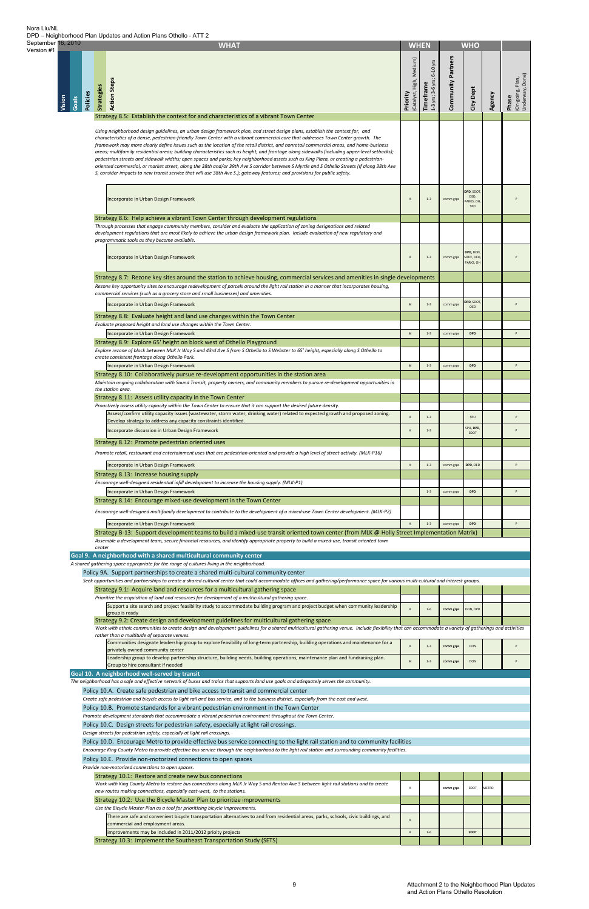| September 16, 2010<br>Version #1 |                 | <b>WHAT</b>                                                                                                                                                                                                                                                                                                                                                                                                                                                                                                                                                                                                                                                                                                                                                                                                                                                                                                                                                                        | <b>WHEN</b>                                |                                              |                           | <b>WHO</b>                           |        |                                              |
|----------------------------------|-----------------|------------------------------------------------------------------------------------------------------------------------------------------------------------------------------------------------------------------------------------------------------------------------------------------------------------------------------------------------------------------------------------------------------------------------------------------------------------------------------------------------------------------------------------------------------------------------------------------------------------------------------------------------------------------------------------------------------------------------------------------------------------------------------------------------------------------------------------------------------------------------------------------------------------------------------------------------------------------------------------|--------------------------------------------|----------------------------------------------|---------------------------|--------------------------------------|--------|----------------------------------------------|
|                                  | Vision<br>Goals | <b>Action Steps</b><br><b>Strategies</b><br>Policies<br>Strategy 8.5: Establish the context for and characteristics of a vibrant Town Center                                                                                                                                                                                                                                                                                                                                                                                                                                                                                                                                                                                                                                                                                                                                                                                                                                       | Medium)<br>High,<br>(Catalyst,<br>Priority | $6-10$ yrs<br>1-3 yrs; 3-6 yrs;<br>Timeframe | <b>Community Partners</b> | City Dept                            | Agency | (On-going, Plan,<br>Underway, Done)<br>Phase |
|                                  |                 |                                                                                                                                                                                                                                                                                                                                                                                                                                                                                                                                                                                                                                                                                                                                                                                                                                                                                                                                                                                    |                                            |                                              |                           |                                      |        |                                              |
|                                  |                 | Using neighborhood design quidelines, an urban design framework plan, and street design plans, establish the context for, and<br>characteristics of a dense, pedestrian-friendly Town Center with a vibrant commercial core that addresses Town Center growth. The<br>framework may more clearly define issues such as the location of the retail district, and nonretail commercial areas, and home-business<br>areas; multifamily residential areas; building characteristics such as height, and frontage along sidewalks (including upper-level setbacks);<br>pedestrian streets and sidewalk widths; open spaces and parks; key neighborhood assets such as King Plaza, or creating a pedestrian-<br>oriented commercial, or market street, along the 38th and/or 39th Ave S corridor between S Myrtle and S Othello Streets (If along 38th Ave<br>S, consider impacts to new transit service that will use 38th Ave S.); gateway features; and provisions for public safety. |                                            |                                              |                           |                                      |        |                                              |
|                                  |                 | Incorporate in Urban Design Framework                                                                                                                                                                                                                                                                                                                                                                                                                                                                                                                                                                                                                                                                                                                                                                                                                                                                                                                                              | H                                          | $1 - 3$                                      | comm grps                 | DPD, SDOT<br>OED,<br>ARKS, OH<br>SPD |        | P                                            |
|                                  |                 | Strategy 8.6: Help achieve a vibrant Town Center through development regulations<br>Through processes that engage community members, consider and evaluate the application of zoning designations and related<br>development regulations that are most likely to achieve the urban design framework plan. Include evaluation of new regulatory and<br>programmatic tools as they become available.                                                                                                                                                                                                                                                                                                                                                                                                                                                                                                                                                                                 |                                            |                                              |                           |                                      |        |                                              |
|                                  |                 | Incorporate in Urban Design Framework                                                                                                                                                                                                                                                                                                                                                                                                                                                                                                                                                                                                                                                                                                                                                                                                                                                                                                                                              | H                                          | $1 - 3$                                      | comm grps                 | DPD, DON<br>SDOT, OED<br>PARKS, OH   |        | P                                            |
|                                  |                 | Strategy 8.7: Rezone key sites around the station to achieve housing, commercial services and amenities in single developments                                                                                                                                                                                                                                                                                                                                                                                                                                                                                                                                                                                                                                                                                                                                                                                                                                                     |                                            |                                              |                           |                                      |        |                                              |
|                                  |                 | Rezone key opportunity sites to encourage redevelopment of parcels around the light rail station in a manner that incorporates housing,                                                                                                                                                                                                                                                                                                                                                                                                                                                                                                                                                                                                                                                                                                                                                                                                                                            |                                            |                                              |                           |                                      |        |                                              |
|                                  |                 | commercial services (such as a grocery store and small businesses) and amenities.                                                                                                                                                                                                                                                                                                                                                                                                                                                                                                                                                                                                                                                                                                                                                                                                                                                                                                  |                                            |                                              |                           |                                      |        |                                              |
|                                  |                 | Incorporate in Urban Design Framework                                                                                                                                                                                                                                                                                                                                                                                                                                                                                                                                                                                                                                                                                                                                                                                                                                                                                                                                              | M                                          | $1 - 3$                                      | comm grps                 | DPD, SDOT<br><b>OED</b>              |        | P                                            |
|                                  |                 | Strategy 8.8: Evaluate height and land use changes within the Town Center                                                                                                                                                                                                                                                                                                                                                                                                                                                                                                                                                                                                                                                                                                                                                                                                                                                                                                          |                                            |                                              |                           |                                      |        |                                              |
|                                  |                 | Evaluate proposed height and land use changes within the Town Center.                                                                                                                                                                                                                                                                                                                                                                                                                                                                                                                                                                                                                                                                                                                                                                                                                                                                                                              | M                                          | $1 - 3$                                      |                           | <b>DPD</b>                           |        | P                                            |
|                                  |                 | Incorporate in Urban Design Framework<br>Strategy 8.9: Explore 65' height on block west of Othello Playground                                                                                                                                                                                                                                                                                                                                                                                                                                                                                                                                                                                                                                                                                                                                                                                                                                                                      |                                            |                                              | comm grps                 |                                      |        |                                              |
|                                  |                 | Explore rezone of block between MLK Jr Way S and 43rd Ave S from S Othello to S Webster to 65' height, especially along S Othello to                                                                                                                                                                                                                                                                                                                                                                                                                                                                                                                                                                                                                                                                                                                                                                                                                                               |                                            |                                              |                           |                                      |        |                                              |
|                                  |                 | create consistent frontage along Othello Park.<br>Incorporate in Urban Design Framework                                                                                                                                                                                                                                                                                                                                                                                                                                                                                                                                                                                                                                                                                                                                                                                                                                                                                            | M                                          | $1 - 3$                                      | comm grps                 | <b>DPD</b>                           |        | P                                            |
|                                  |                 | Strategy 8.10: Collaboratively pursue re-development opportunities in the station area                                                                                                                                                                                                                                                                                                                                                                                                                                                                                                                                                                                                                                                                                                                                                                                                                                                                                             |                                            |                                              |                           |                                      |        |                                              |
|                                  |                 | Maintain ongoing collaboration with Sound Transit, property owners, and community members to pursue re-development opportunities in                                                                                                                                                                                                                                                                                                                                                                                                                                                                                                                                                                                                                                                                                                                                                                                                                                                |                                            |                                              |                           |                                      |        |                                              |
|                                  |                 | the station area.<br>Strategy 8.11: Assess utility capacity in the Town Center                                                                                                                                                                                                                                                                                                                                                                                                                                                                                                                                                                                                                                                                                                                                                                                                                                                                                                     |                                            |                                              |                           |                                      |        |                                              |
|                                  |                 | Proactively assess utility capacity within the Town Center to ensure that it can support the desired future density.                                                                                                                                                                                                                                                                                                                                                                                                                                                                                                                                                                                                                                                                                                                                                                                                                                                               |                                            |                                              |                           |                                      |        |                                              |
|                                  |                 | Assess/confirm utility capacity issues (wastewater, storm water, drinking water) related to expected growth and proposed zoning.<br>Develop strategy to address any capacity constraints identified.                                                                                                                                                                                                                                                                                                                                                                                                                                                                                                                                                                                                                                                                                                                                                                               | H                                          | $1 - 3$                                      |                           | SPU                                  |        | P                                            |
|                                  |                 | Incorporate discussion in Urban Design Framework                                                                                                                                                                                                                                                                                                                                                                                                                                                                                                                                                                                                                                                                                                                                                                                                                                                                                                                                   | H                                          | $1 - 3$                                      |                           | SPU, DPD<br>SDOT                     |        | P                                            |
|                                  |                 | Strategy 8.12: Promote pedestrian oriented uses                                                                                                                                                                                                                                                                                                                                                                                                                                                                                                                                                                                                                                                                                                                                                                                                                                                                                                                                    |                                            |                                              |                           |                                      |        |                                              |
|                                  |                 | Promote retail, restaurant and entertainment uses that are pedestrian-oriented and provide a high level of street activity. (MLK-P16)                                                                                                                                                                                                                                                                                                                                                                                                                                                                                                                                                                                                                                                                                                                                                                                                                                              |                                            |                                              |                           |                                      |        |                                              |
|                                  |                 | Incorporate in Urban Design Framework                                                                                                                                                                                                                                                                                                                                                                                                                                                                                                                                                                                                                                                                                                                                                                                                                                                                                                                                              | H                                          | $1 - 3$                                      | comm grps                 | DPD, OED                             |        | P                                            |
|                                  |                 | Strategy 8.13: Increase housing supply                                                                                                                                                                                                                                                                                                                                                                                                                                                                                                                                                                                                                                                                                                                                                                                                                                                                                                                                             |                                            |                                              |                           |                                      |        |                                              |
|                                  |                 | Encourage well-designed residential infill development to increase the housing supply. (MLK-P1)                                                                                                                                                                                                                                                                                                                                                                                                                                                                                                                                                                                                                                                                                                                                                                                                                                                                                    |                                            |                                              |                           |                                      |        |                                              |
|                                  |                 | Incorporate in Urban Design Framework                                                                                                                                                                                                                                                                                                                                                                                                                                                                                                                                                                                                                                                                                                                                                                                                                                                                                                                                              |                                            | $1 - 3$                                      | comm grps                 | <b>DPD</b>                           |        | P                                            |
|                                  |                 | Strategy 8.14: Encourage mixed-use development in the Town Center<br>Encourage well-designed multifamily development to contribute to the development of a mixed-use Town Center development. (MLK-P2)                                                                                                                                                                                                                                                                                                                                                                                                                                                                                                                                                                                                                                                                                                                                                                             |                                            |                                              |                           |                                      |        |                                              |
|                                  |                 | Incorporate in Urban Design Framework                                                                                                                                                                                                                                                                                                                                                                                                                                                                                                                                                                                                                                                                                                                                                                                                                                                                                                                                              | H                                          | $1 - 3$                                      | comm grps                 | <b>DPD</b>                           |        | P                                            |
|                                  |                 | Strategy B-13: Support development teams to build a mixed-use transit oriented town center (from MLK @ Holly Street Implementation Matrix)                                                                                                                                                                                                                                                                                                                                                                                                                                                                                                                                                                                                                                                                                                                                                                                                                                         |                                            |                                              |                           |                                      |        |                                              |
|                                  |                 | Assemble a development team, secure financial resources, and identify appropriate property to build a mixed-use, transit oriented town                                                                                                                                                                                                                                                                                                                                                                                                                                                                                                                                                                                                                                                                                                                                                                                                                                             |                                            |                                              |                           |                                      |        |                                              |
|                                  |                 | center<br>Goal 9. A neighborhood with a shared multicultural community center                                                                                                                                                                                                                                                                                                                                                                                                                                                                                                                                                                                                                                                                                                                                                                                                                                                                                                      |                                            |                                              |                           |                                      |        |                                              |
|                                  |                 | A shared gathering space appropriate for the range of cultures living in the neighborhood.                                                                                                                                                                                                                                                                                                                                                                                                                                                                                                                                                                                                                                                                                                                                                                                                                                                                                         |                                            |                                              |                           |                                      |        |                                              |
|                                  |                 | Policy 9A. Support partnerships to create a shared multi-cultural community center                                                                                                                                                                                                                                                                                                                                                                                                                                                                                                                                                                                                                                                                                                                                                                                                                                                                                                 |                                            |                                              |                           |                                      |        |                                              |
|                                  |                 | Seek opportunities and partnerships to create a shared cultural center that could accommodate offices and gathering/performance space for various multi-cultural and interest groups.<br>Strategy 9.1: Acquire land and resources for a multicultural gathering space                                                                                                                                                                                                                                                                                                                                                                                                                                                                                                                                                                                                                                                                                                              |                                            |                                              |                           |                                      |        |                                              |
|                                  |                 | Prioritize the acquisition of land and resources for development of a multicultural gathering space.                                                                                                                                                                                                                                                                                                                                                                                                                                                                                                                                                                                                                                                                                                                                                                                                                                                                               |                                            |                                              |                           |                                      |        |                                              |
|                                  |                 | Support a site search and project feasibility study to accommodate building program and project budget when community leadership<br>group is ready                                                                                                                                                                                                                                                                                                                                                                                                                                                                                                                                                                                                                                                                                                                                                                                                                                 |                                            | $1 - 6$                                      | comm grps                 | DON, DPD                             |        |                                              |
|                                  |                 | Strategy 9.2: Create design and development guidelines for multicultural gathering space                                                                                                                                                                                                                                                                                                                                                                                                                                                                                                                                                                                                                                                                                                                                                                                                                                                                                           |                                            |                                              |                           |                                      |        |                                              |
|                                  |                 | Work with ethnic communities to create design and development guidelines for a shared multicultural gathering venue. Include flexibility that can accommodate a variety of gatherings and activities<br>rather than a multitude of separate venues.                                                                                                                                                                                                                                                                                                                                                                                                                                                                                                                                                                                                                                                                                                                                |                                            |                                              |                           |                                      |        |                                              |
|                                  |                 | Communities designate leadership group to explore feasibility of long-term partnership, building operations and maintenance for a                                                                                                                                                                                                                                                                                                                                                                                                                                                                                                                                                                                                                                                                                                                                                                                                                                                  | н                                          | $1 - 3$                                      | comm grps                 | DON                                  |        | P                                            |
|                                  |                 | privately owned community center<br>Leadership group to develop partnership structure, building needs, building operations, maintenance plan and fundraising plan.                                                                                                                                                                                                                                                                                                                                                                                                                                                                                                                                                                                                                                                                                                                                                                                                                 |                                            |                                              |                           |                                      |        |                                              |
|                                  |                 | Group to hire consultant if needed                                                                                                                                                                                                                                                                                                                                                                                                                                                                                                                                                                                                                                                                                                                                                                                                                                                                                                                                                 | M                                          | $1 - 3$                                      | comm grps                 | DON                                  |        | P                                            |
|                                  |                 | Goal 10. A neighborhood well-served by transit<br>The neighborhood has a safe and effective network of buses and trains that supports land use goals and adequately serves the community.                                                                                                                                                                                                                                                                                                                                                                                                                                                                                                                                                                                                                                                                                                                                                                                          |                                            |                                              |                           |                                      |        |                                              |
|                                  |                 | Policy 10.A. Create safe pedestrian and bike access to transit and commercial center                                                                                                                                                                                                                                                                                                                                                                                                                                                                                                                                                                                                                                                                                                                                                                                                                                                                                               |                                            |                                              |                           |                                      |        |                                              |
|                                  |                 | Create safe pedestrian and bicycle access to light rail and bus service, and to the business district, especially from the east and west.                                                                                                                                                                                                                                                                                                                                                                                                                                                                                                                                                                                                                                                                                                                                                                                                                                          |                                            |                                              |                           |                                      |        |                                              |
|                                  |                 | Policy 10.B. Promote standards for a vibrant pedestrian environment in the Town Center<br>Promote development standards that accommodate a vibrant pedestrian environment throughout the Town Center.                                                                                                                                                                                                                                                                                                                                                                                                                                                                                                                                                                                                                                                                                                                                                                              |                                            |                                              |                           |                                      |        |                                              |
|                                  |                 | Policy 10.C. Design streets for pedestrian safety, especially at light rail crossings.                                                                                                                                                                                                                                                                                                                                                                                                                                                                                                                                                                                                                                                                                                                                                                                                                                                                                             |                                            |                                              |                           |                                      |        |                                              |
|                                  |                 | Design streets for pedestrian safety, especially at light rail crossings.                                                                                                                                                                                                                                                                                                                                                                                                                                                                                                                                                                                                                                                                                                                                                                                                                                                                                                          |                                            |                                              |                           |                                      |        |                                              |
|                                  |                 | Policy 10.D. Encourage Metro to provide effective bus service connecting to the light rail station and to community facilities<br>Encourage King County Metro to provide effective bus service through the neighborhood to the light rail station and surrounding community facilities.                                                                                                                                                                                                                                                                                                                                                                                                                                                                                                                                                                                                                                                                                            |                                            |                                              |                           |                                      |        |                                              |
|                                  |                 | Policy 10.E. Provide non-motorized connections to open spaces                                                                                                                                                                                                                                                                                                                                                                                                                                                                                                                                                                                                                                                                                                                                                                                                                                                                                                                      |                                            |                                              |                           |                                      |        |                                              |
|                                  |                 | Provide non-motorized connections to open spaces.                                                                                                                                                                                                                                                                                                                                                                                                                                                                                                                                                                                                                                                                                                                                                                                                                                                                                                                                  |                                            |                                              |                           |                                      |        |                                              |
|                                  |                 | Strategy 10.1: Restore and create new bus connections                                                                                                                                                                                                                                                                                                                                                                                                                                                                                                                                                                                                                                                                                                                                                                                                                                                                                                                              |                                            |                                              |                           |                                      |        |                                              |
|                                  |                 | Work with King County Metro to restore bus connections along MLK Jr Way S and Renton Ave S between light rail stations and to create<br>new routes making connections, especially east-west, to the stations.                                                                                                                                                                                                                                                                                                                                                                                                                                                                                                                                                                                                                                                                                                                                                                      | Н.                                         |                                              | comm grps                 | SDOT                                 | METRO  |                                              |
|                                  |                 | Strategy 10.2: Use the Bicycle Master Plan to prioritize improvements                                                                                                                                                                                                                                                                                                                                                                                                                                                                                                                                                                                                                                                                                                                                                                                                                                                                                                              |                                            |                                              |                           |                                      |        |                                              |
|                                  |                 | Use the Bicycle Master Plan as a tool for prioritizing bicycle improvements.<br>There are safe and convenient bicycle transportation alternatives to and from residential areas, parks, schools, civic buildings, and                                                                                                                                                                                                                                                                                                                                                                                                                                                                                                                                                                                                                                                                                                                                                              |                                            |                                              |                           |                                      |        |                                              |
|                                  |                 | commercial and employment areas.                                                                                                                                                                                                                                                                                                                                                                                                                                                                                                                                                                                                                                                                                                                                                                                                                                                                                                                                                   | H                                          |                                              |                           |                                      |        |                                              |
|                                  |                 | improvements may be included in 2011/2012 prioity projects                                                                                                                                                                                                                                                                                                                                                                                                                                                                                                                                                                                                                                                                                                                                                                                                                                                                                                                         | $\,$ H                                     | $1 - 6$                                      |                           | <b>SDOT</b>                          |        |                                              |
|                                  |                 | Strategy 10.3: Implement the Southeast Transportation Study (SETS)                                                                                                                                                                                                                                                                                                                                                                                                                                                                                                                                                                                                                                                                                                                                                                                                                                                                                                                 |                                            |                                              |                           |                                      |        |                                              |